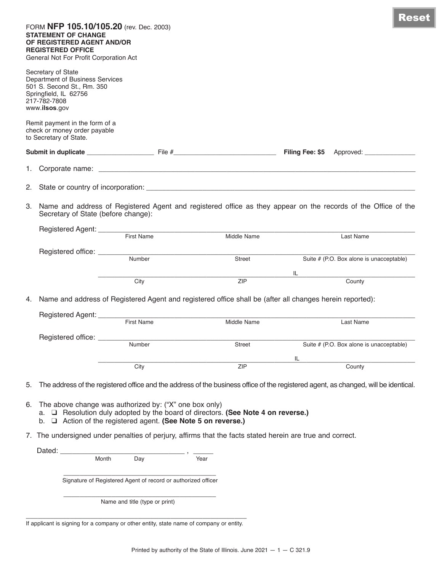|    | FORM NFP 105.10/105.20 (rev. Dec. 2003)<br><b>STATEMENT OF CHANGE</b><br>OF REGISTERED AGENT AND/OR<br><b>REGISTERED OFFICE</b><br>General Not For Profit Corporation Act |                                                                                                                                                                                                                  |                                                                                                                                     |     | <b>Reset</b>                             |  |
|----|---------------------------------------------------------------------------------------------------------------------------------------------------------------------------|------------------------------------------------------------------------------------------------------------------------------------------------------------------------------------------------------------------|-------------------------------------------------------------------------------------------------------------------------------------|-----|------------------------------------------|--|
|    | Secretary of State<br><b>Department of Business Services</b><br>501 S. Second St., Rm. 350<br>Springfield, IL 62756<br>217-782-7808<br>www.ilsos.gov                      |                                                                                                                                                                                                                  |                                                                                                                                     |     |                                          |  |
|    | Remit payment in the form of a<br>check or money order payable<br>to Secretary of State.                                                                                  |                                                                                                                                                                                                                  |                                                                                                                                     |     |                                          |  |
|    |                                                                                                                                                                           |                                                                                                                                                                                                                  |                                                                                                                                     |     |                                          |  |
| 1. |                                                                                                                                                                           |                                                                                                                                                                                                                  |                                                                                                                                     |     |                                          |  |
|    |                                                                                                                                                                           |                                                                                                                                                                                                                  |                                                                                                                                     |     |                                          |  |
|    | 3. Name and address of Registered Agent and registered office as they appear on the records of the Office of the<br>Secretary of State (before change):                   |                                                                                                                                                                                                                  |                                                                                                                                     |     |                                          |  |
|    |                                                                                                                                                                           | First Name                                                                                                                                                                                                       | Middle Name                                                                                                                         |     | <b>Last Name</b>                         |  |
|    | Registered office: __________                                                                                                                                             | Number                                                                                                                                                                                                           | Street                                                                                                                              |     | Suite # (P.O. Box alone is unacceptable) |  |
|    |                                                                                                                                                                           |                                                                                                                                                                                                                  |                                                                                                                                     | IL. |                                          |  |
|    |                                                                                                                                                                           | City                                                                                                                                                                                                             | <b>ZIP</b>                                                                                                                          |     | County                                   |  |
|    |                                                                                                                                                                           | 4. Name and address of Registered Agent and registered office shall be (after all changes herein reported):                                                                                                      |                                                                                                                                     |     |                                          |  |
|    |                                                                                                                                                                           | <b>First Name</b>                                                                                                                                                                                                | Middle Name                                                                                                                         |     | Last Name                                |  |
|    | Registered office: ____                                                                                                                                                   |                                                                                                                                                                                                                  |                                                                                                                                     |     |                                          |  |
|    |                                                                                                                                                                           | Number                                                                                                                                                                                                           | Street                                                                                                                              |     | Suite # (P.O. Box alone is unacceptable) |  |
|    |                                                                                                                                                                           | City                                                                                                                                                                                                             | ZIP                                                                                                                                 | IL  | County                                   |  |
|    |                                                                                                                                                                           |                                                                                                                                                                                                                  |                                                                                                                                     |     |                                          |  |
| 5. |                                                                                                                                                                           |                                                                                                                                                                                                                  | The address of the registered office and the address of the business office of the registered agent, as changed, will be identical. |     |                                          |  |
| 6. |                                                                                                                                                                           | The above change was authorized by: ("X" one box only)<br>a. □ Resolution duly adopted by the board of directors. (See Note 4 on reverse.)<br>b. $\Box$ Action of the registered agent. (See Note 5 on reverse.) |                                                                                                                                     |     |                                          |  |
|    |                                                                                                                                                                           | 7. The undersigned under penalties of perjury, affirms that the facts stated herein are true and correct.                                                                                                        |                                                                                                                                     |     |                                          |  |
|    | Dated: <u>_________</u>                                                                                                                                                   |                                                                                                                                                                                                                  |                                                                                                                                     |     |                                          |  |
|    | Month                                                                                                                                                                     | Day                                                                                                                                                                                                              | Year                                                                                                                                |     |                                          |  |
|    |                                                                                                                                                                           | Signature of Registered Agent of record or authorized officer                                                                                                                                                    |                                                                                                                                     |     |                                          |  |
|    |                                                                                                                                                                           | Name and title (type or print)                                                                                                                                                                                   |                                                                                                                                     |     |                                          |  |
|    | If applicant is signing for a company or other entity, state name of company or entity.                                                                                   |                                                                                                                                                                                                                  |                                                                                                                                     |     |                                          |  |